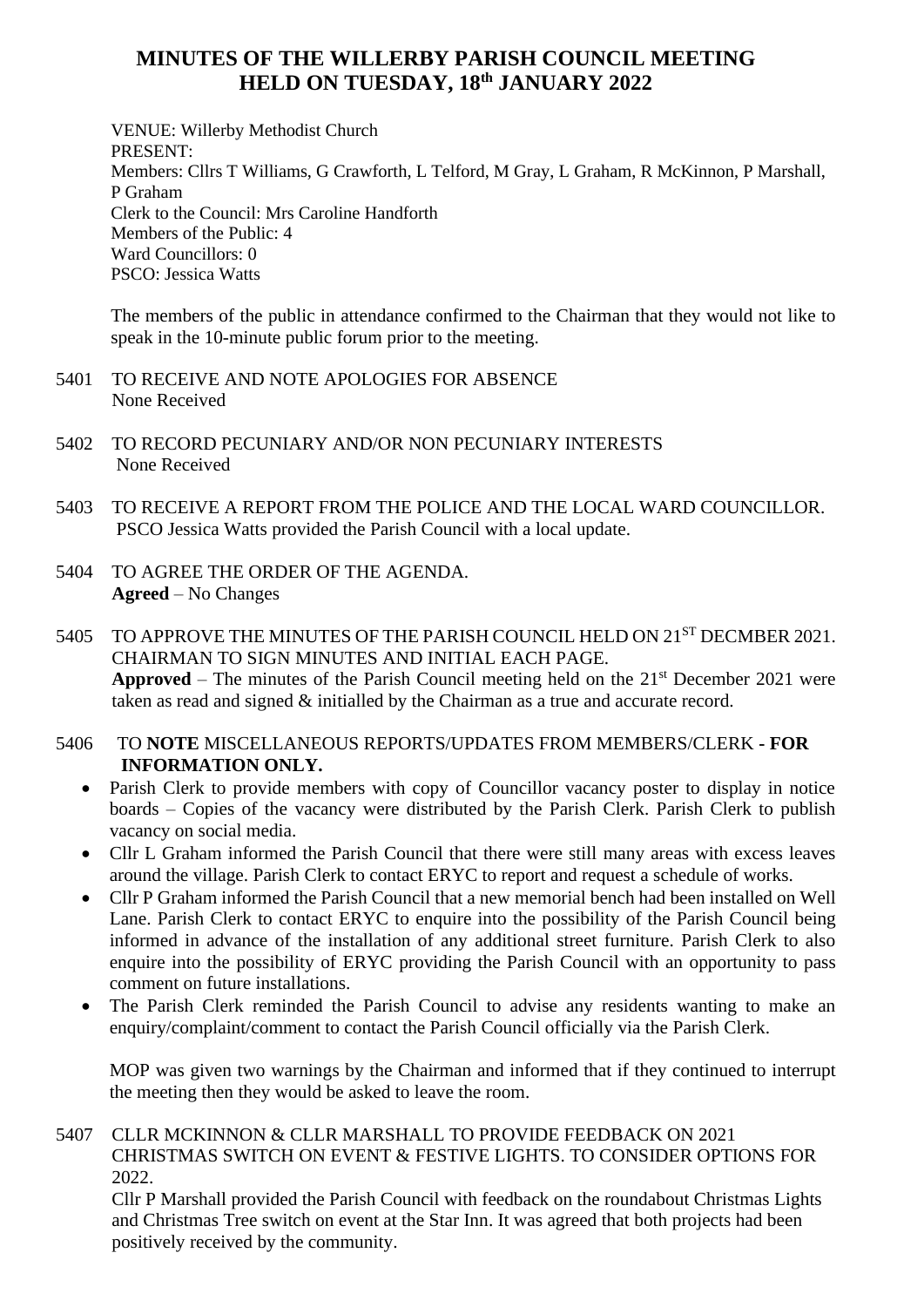## **MINUTES OF THE WILLERBY PARISH COUNCIL MEETING HELD ON TUESDAY, 18th JANUARY 2022**

VENUE: Willerby Methodist Church PRESENT: Members: Cllrs T Williams, G Crawforth, L Telford, M Gray, L Graham, R McKinnon, P Marshall, P Graham Clerk to the Council: Mrs Caroline Handforth Members of the Public: 4 Ward Councillors: 0 PSCO: Jessica Watts

The members of the public in attendance confirmed to the Chairman that they would not like to speak in the 10-minute public forum prior to the meeting.

- 5401 TO RECEIVE AND NOTE APOLOGIES FOR ABSENCE None Received
- 5402 TO RECORD PECUNIARY AND/OR NON PECUNIARY INTERESTS None Received
- 5403 TO RECEIVE A REPORT FROM THE POLICE AND THE LOCAL WARD COUNCILLOR. PSCO Jessica Watts provided the Parish Council with a local update.
- 5404 TO AGREE THE ORDER OF THE AGENDA. **Agreed** – No Changes
- 5405 TO APPROVE THE MINUTES OF THE PARISH COUNCIL HELD ON 21<sup>ST</sup> DECMBER 2021. CHAIRMAN TO SIGN MINUTES AND INITIAL EACH PAGE. **Approved** – The minutes of the Parish Council meeting held on the  $21<sup>st</sup>$  December 2021 were taken as read and signed & initialled by the Chairman as a true and accurate record.
- 5406 TO **NOTE** MISCELLANEOUS REPORTS/UPDATES FROM MEMBERS/CLERK **- FOR INFORMATION ONLY.**
	- Parish Clerk to provide members with copy of Councillor vacancy poster to display in notice boards – Copies of the vacancy were distributed by the Parish Clerk. Parish Clerk to publish vacancy on social media.
	- Cllr L Graham informed the Parish Council that there were still many areas with excess leaves around the village. Parish Clerk to contact ERYC to report and request a schedule of works.
	- Cllr P Graham informed the Parish Council that a new memorial bench had been installed on Well Lane. Parish Clerk to contact ERYC to enquire into the possibility of the Parish Council being informed in advance of the installation of any additional street furniture. Parish Clerk to also enquire into the possibility of ERYC providing the Parish Council with an opportunity to pass comment on future installations.
	- The Parish Clerk reminded the Parish Council to advise any residents wanting to make an enquiry/complaint/comment to contact the Parish Council officially via the Parish Clerk.

MOP was given two warnings by the Chairman and informed that if they continued to interrupt the meeting then they would be asked to leave the room.

## 5407 CLLR MCKINNON & CLLR MARSHALL TO PROVIDE FEEDBACK ON 2021 CHRISTMAS SWITCH ON EVENT & FESTIVE LIGHTS. TO CONSIDER OPTIONS FOR 2022.

Cllr P Marshall provided the Parish Council with feedback on the roundabout Christmas Lights and Christmas Tree switch on event at the Star Inn. It was agreed that both projects had been positively received by the community.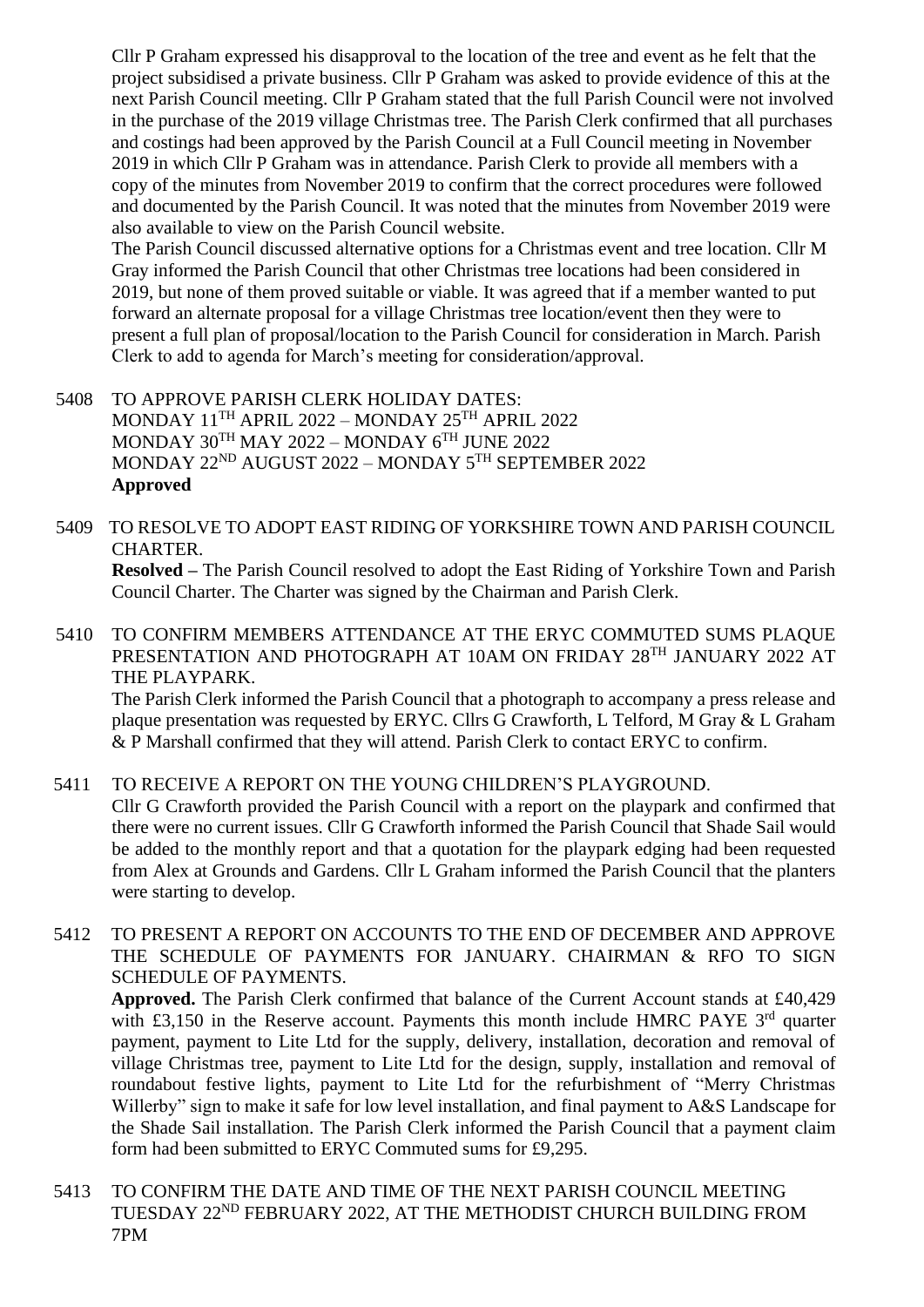Cllr P Graham expressed his disapproval to the location of the tree and event as he felt that the project subsidised a private business. Cllr P Graham was asked to provide evidence of this at the next Parish Council meeting. Cllr P Graham stated that the full Parish Council were not involved in the purchase of the 2019 village Christmas tree. The Parish Clerk confirmed that all purchases and costings had been approved by the Parish Council at a Full Council meeting in November 2019 in which Cllr P Graham was in attendance. Parish Clerk to provide all members with a copy of the minutes from November 2019 to confirm that the correct procedures were followed and documented by the Parish Council. It was noted that the minutes from November 2019 were also available to view on the Parish Council website.

The Parish Council discussed alternative options for a Christmas event and tree location. Cllr M Gray informed the Parish Council that other Christmas tree locations had been considered in 2019, but none of them proved suitable or viable. It was agreed that if a member wanted to put forward an alternate proposal for a village Christmas tree location/event then they were to present a full plan of proposal/location to the Parish Council for consideration in March. Parish Clerk to add to agenda for March's meeting for consideration/approval.

- 5408 TO APPROVE PARISH CLERK HOLIDAY DATES: MONDAY 11TH APRIL 2022 – MONDAY 25TH APRIL 2022 MONDAY 30TH MAY 2022 – MONDAY  $6^{TH}$  JUNE 2022 MONDAY 22ND AUGUST 2022 – MONDAY 5TH SEPTEMBER 2022 **Approved**
- 5409 TO RESOLVE TO ADOPT EAST RIDING OF YORKSHIRE TOWN AND PARISH COUNCIL CHARTER.

**Resolved –** The Parish Council resolved to adopt the East Riding of Yorkshire Town and Parish Council Charter. The Charter was signed by the Chairman and Parish Clerk.

5410 TO CONFIRM MEMBERS ATTENDANCE AT THE ERYC COMMUTED SUMS PLAQUE PRESENTATION AND PHOTOGRAPH AT 10AM ON FRIDAY 28TH JANUARY 2022 AT THE PLAYPARK.

The Parish Clerk informed the Parish Council that a photograph to accompany a press release and plaque presentation was requested by ERYC. Cllrs G Crawforth, L Telford, M Gray & L Graham & P Marshall confirmed that they will attend. Parish Clerk to contact ERYC to confirm.

5411 TO RECEIVE A REPORT ON THE YOUNG CHILDREN'S PLAYGROUND. Cllr G Crawforth provided the Parish Council with a report on the playpark and confirmed that there were no current issues. Cllr G Crawforth informed the Parish Council that Shade Sail would be added to the monthly report and that a quotation for the playpark edging had been requested from Alex at Grounds and Gardens. Cllr L Graham informed the Parish Council that the planters were starting to develop.

5412 TO PRESENT A REPORT ON ACCOUNTS TO THE END OF DECEMBER AND APPROVE THE SCHEDULE OF PAYMENTS FOR JANUARY. CHAIRMAN & RFO TO SIGN SCHEDULE OF PAYMENTS.

**Approved.** The Parish Clerk confirmed that balance of the Current Account stands at £40,429 with £3,150 in the Reserve account. Payments this month include HMRC PAYE  $3<sup>rd</sup>$  quarter payment, payment to Lite Ltd for the supply, delivery, installation, decoration and removal of village Christmas tree, payment to Lite Ltd for the design, supply, installation and removal of roundabout festive lights, payment to Lite Ltd for the refurbishment of "Merry Christmas Willerby" sign to make it safe for low level installation, and final payment to A&S Landscape for the Shade Sail installation. The Parish Clerk informed the Parish Council that a payment claim form had been submitted to ERYC Commuted sums for £9,295.

5413 TO CONFIRM THE DATE AND TIME OF THE NEXT PARISH COUNCIL MEETING TUESDAY 22ND FEBRUARY 2022, AT THE METHODIST CHURCH BUILDING FROM 7PM